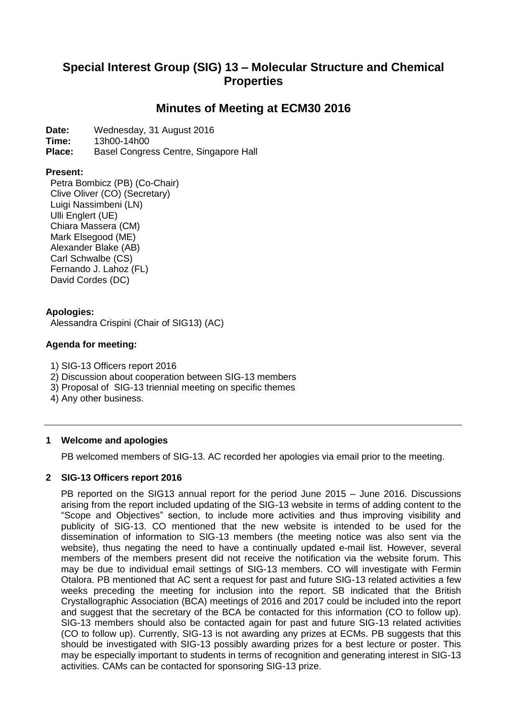# **Special Interest Group (SIG) 13 – Molecular Structure and Chemical Properties**

## **Minutes of Meeting at ECM30 2016**

**Date:** Wednesday, 31 August 2016

**Time:** 13h00-14h00

**Place:** Basel Congress Centre, Singapore Hall

### **Present:**

Petra Bombicz (PB) (Co-Chair) Clive Oliver (CO) (Secretary) Luigi Nassimbeni (LN) Ulli Englert (UE) Chiara Massera (CM) Mark Elsegood (ME) Alexander Blake (AB) Carl Schwalbe (CS) Fernando J. Lahoz (FL) David Cordes (DC)

## **Apologies:**

Alessandra Crispini (Chair of SIG13) (AC)

## **Agenda for meeting:**

- 1) SIG-13 Officers report 2016
- 2) Discussion about cooperation between SIG-13 members
- 3) Proposal of SIG-13 triennial meeting on specific themes

4) Any other business.

#### **1 Welcome and apologies**

PB welcomed members of SIG-13. AC recorded her apologies via email prior to the meeting.

## **2 SIG-13 Officers report 2016**

PB reported on the SIG13 annual report for the period June 2015 – June 2016. Discussions arising from the report included updating of the SIG-13 website in terms of adding content to the "Scope and Objectives" section, to include more activities and thus improving visibility and publicity of SIG-13. CO mentioned that the new website is intended to be used for the dissemination of information to SIG-13 members (the meeting notice was also sent via the website), thus negating the need to have a continually updated e-mail list. However, several members of the members present did not receive the notification via the website forum. This may be due to individual email settings of SIG-13 members. CO will investigate with Fermin Otalora. PB mentioned that AC sent a request for past and future SIG-13 related activities a few weeks preceding the meeting for inclusion into the report. SB indicated that the British Crystallographic Association (BCA) meetings of 2016 and 2017 could be included into the report and suggest that the secretary of the BCA be contacted for this information (CO to follow up). SIG-13 members should also be contacted again for past and future SIG-13 related activities (CO to follow up). Currently, SIG-13 is not awarding any prizes at ECMs. PB suggests that this should be investigated with SIG-13 possibly awarding prizes for a best lecture or poster. This may be especially important to students in terms of recognition and generating interest in SIG-13 activities. CAMs can be contacted for sponsoring SIG-13 prize.